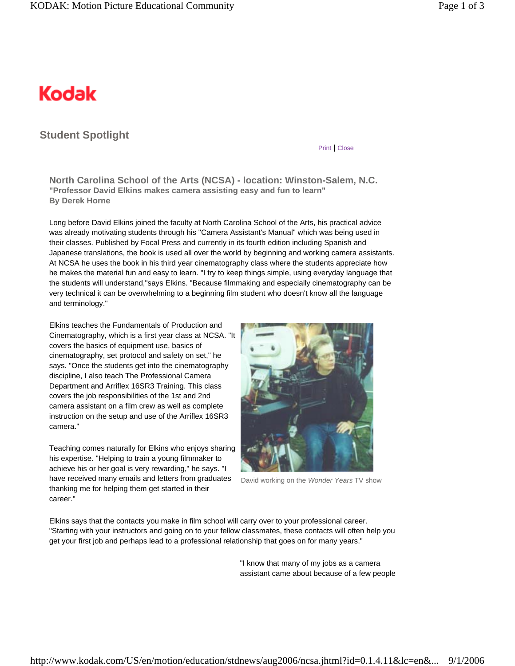## Kodak

## **Student Spotlight**

## Print | Close

**North Carolina School of the Arts (NCSA) - location: Winston-Salem, N.C. "Professor David Elkins makes camera assisting easy and fun to learn" By Derek Horne** 

Long before David Elkins joined the faculty at North Carolina School of the Arts, his practical advice was already motivating students through his "Camera Assistant's Manual" which was being used in their classes. Published by Focal Press and currently in its fourth edition including Spanish and Japanese translations, the book is used all over the world by beginning and working camera assistants. At NCSA he uses the book in his third year cinematography class where the students appreciate how he makes the material fun and easy to learn. "I try to keep things simple, using everyday language that the students will understand,"says Elkins. "Because filmmaking and especially cinematography can be very technical it can be overwhelming to a beginning film student who doesn't know all the language and terminology."

Elkins teaches the Fundamentals of Production and Cinematography, which is a first year class at NCSA. "It covers the basics of equipment use, basics of cinematography, set protocol and safety on set," he says. "Once the students get into the cinematography discipline, I also teach The Professional Camera Department and Arriflex 16SR3 Training. This class covers the job responsibilities of the 1st and 2nd camera assistant on a film crew as well as complete instruction on the setup and use of the Arriflex 16SR3 camera."

Teaching comes naturally for Elkins who enjoys sharing his expertise. "Helping to train a young filmmaker to achieve his or her goal is very rewarding," he says. "I have received many emails and letters from graduates thanking me for helping them get started in their career."



David working on the *Wonder Years* TV show

Elkins says that the contacts you make in film school will carry over to your professional career. "Starting with your instructors and going on to your fellow classmates, these contacts will often help you get your first job and perhaps lead to a professional relationship that goes on for many years."

> "I know that many of my jobs as a camera assistant came about because of a few people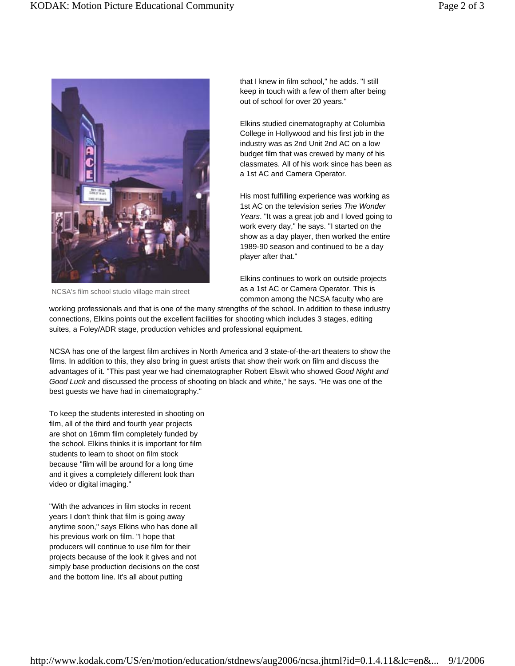

NCSA's film school studio village main street

that I knew in film school," he adds. "I still keep in touch with a few of them after being out of school for over 20 years."

Elkins studied cinematography at Columbia College in Hollywood and his first job in the industry was as 2nd Unit 2nd AC on a low budget film that was crewed by many of his classmates. All of his work since has been as a 1st AC and Camera Operator.

His most fulfilling experience was working as 1st AC on the television series *The Wonder Years*. "It was a great job and I loved going to work every day," he says. "I started on the show as a day player, then worked the entire 1989-90 season and continued to be a day player after that."

Elkins continues to work on outside projects as a 1st AC or Camera Operator. This is common among the NCSA faculty who are

working professionals and that is one of the many strengths of the school. In addition to these industry connections, Elkins points out the excellent facilities for shooting which includes 3 stages, editing suites, a Foley/ADR stage, production vehicles and professional equipment.

NCSA has one of the largest film archives in North America and 3 state-of-the-art theaters to show the films. In addition to this, they also bring in guest artists that show their work on film and discuss the advantages of it. "This past year we had cinematographer Robert Elswit who showed *Good Night and Good Luck* and discussed the process of shooting on black and white," he says. "He was one of the best guests we have had in cinematography."

To keep the students interested in shooting on film, all of the third and fourth year projects are shot on 16mm film completely funded by the school. Elkins thinks it is important for film students to learn to shoot on film stock because "film will be around for a long time and it gives a completely different look than video or digital imaging."

"With the advances in film stocks in recent years I don't think that film is going away anytime soon," says Elkins who has done all his previous work on film. "I hope that producers will continue to use film for their projects because of the look it gives and not simply base production decisions on the cost and the bottom line. It's all about putting